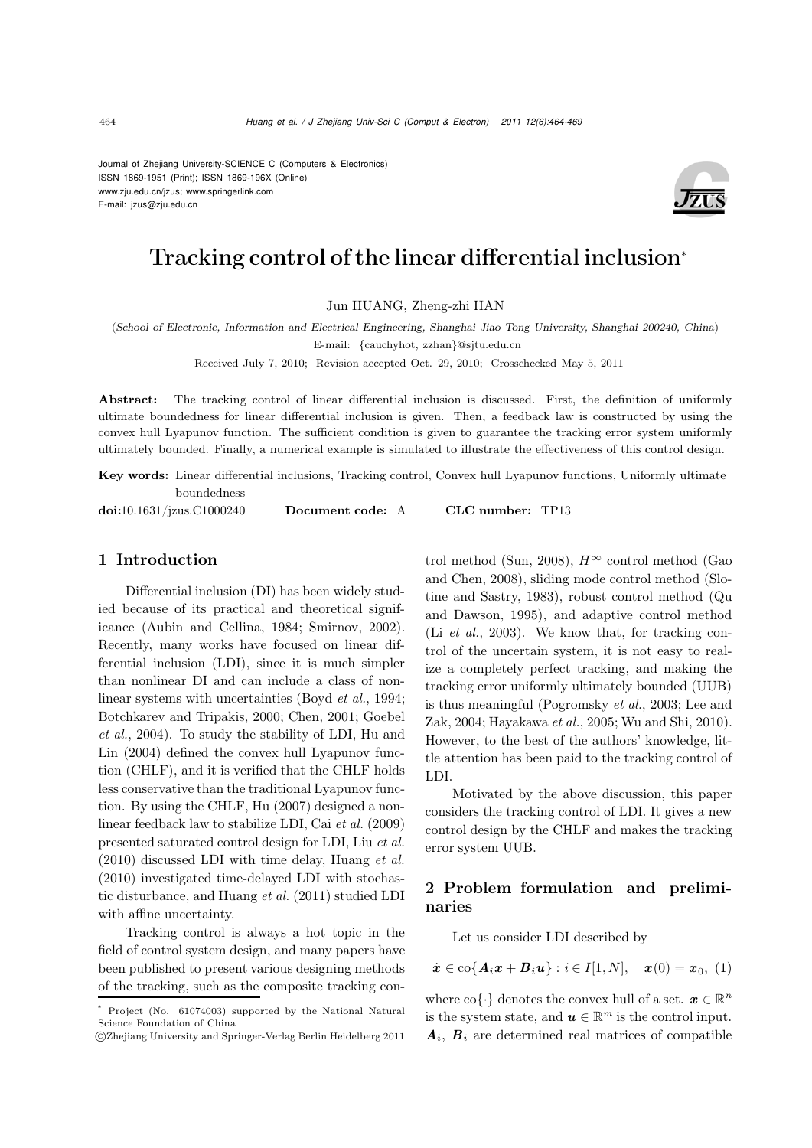Journal of Zhejiang University-SCIENCE C (Computers & Electronics) ISSN 1869-1951 (Print); ISSN 1869-196X (Online) www.zju.edu.cn/jzus; www.springerlink.com E-mail: jzus@zju.edu.cn



# Tracking control of the linear differential inclusion<sup>∗</sup>

Jun HUANG, Zheng-zhi HAN

(*School of Electronic, Information and Electrical Engineering, Shanghai Jiao Tong University, Shanghai 200240, China*) E-mail: {cauchyhot, zzhan}@sjtu.edu.cn

Received July 7, 2010; Revision accepted Oct. 29, 2010; Crosschecked May 5, 2011

Abstract: The tracking control of linear differential inclusion is discussed. First, the definition of uniformly ultimate boundedness for linear differential inclusion is given. Then, a feedback law is constructed by using the convex hull Lyapunov function. The sufficient condition is given to guarantee the tracking error system uniformly ultimately bounded. Finally, a numerical example is simulated to illustrate the effectiveness of this control design.

Key words: Linear differential inclusions, Tracking control, Convex hull Lyapunov functions, Uniformly ultimate boundedness

doi:10.1631/jzus.C1000240 Document code: A CLC number: TP13

## 1 Introduction

Differential inclusion (DI) has been widely studied because of its practical and theoretical significance (Aubin and Cellina, 1984; Smirnov, 2002). Recently, many works have focused on linear differential inclusion (LDI), since it is much simpler than nonlinear DI and can include a class of nonlinear systems with uncertainties (Boyd *et al.*, 1994; Botchkarev and Tripakis, 2000; Chen, 2001; Goebel *et al.*, 2004). To study the stability of LDI, Hu and Lin (2004) defined the convex hull Lyapunov function (CHLF), and it is verified that the CHLF holds less conservative than the traditional Lyapunov function. By using the CHLF, Hu (2007) designed a nonlinear feedback law to stabilize LDI, Cai *et al.* (2009) presented saturated control design for LDI, Liu *et al.* (2010) discussed LDI with time delay, Huang *et al.* (2010) investigated time-delayed LDI with stochastic disturbance, and Huang *et al.* (2011) studied LDI with affine uncertainty.

Tracking control is always a hot topic in the field of control system design, and many papers have been published to present various designing methods of the tracking, such as the composite tracking control method (Sun, 2008),  $H^{\infty}$  control method (Gao and Chen, 2008), sliding mode control method (Slotine and Sastry, 1983), robust control method (Qu and Dawson, 1995), and adaptive control method (Li *et al.*, 2003). We know that, for tracking control of the uncertain system, it is not easy to realize a completely perfect tracking, and making the tracking error uniformly ultimately bounded (UUB) is thus meaningful (Pogromsky *et al.*, 2003; Lee and Zak, 2004; Hayakawa *et al.*, 2005; Wu and Shi, 2010). However, to the best of the authors' knowledge, little attention has been paid to the tracking control of LDI.

Motivated by the above discussion, this paper considers the tracking control of LDI. It gives a new control design by the CHLF and makes the tracking error system UUB.

## 2 Problem formulation and preliminaries

Let us consider LDI described by

$$
\dot{\boldsymbol{x}}\in\text{co}\{\boldsymbol{A}_i\boldsymbol{x}+\boldsymbol{B}_i\boldsymbol{u}\}:i\in I[1,N],\quad \boldsymbol{x}(0)=\boldsymbol{x}_0,\,\,(1)
$$

where  $\text{co}\{\cdot\}$  denotes the convex hull of a set.  $\boldsymbol{x} \in \mathbb{R}^n$ is the system state, and  $u \in \mathbb{R}^m$  is the control input.  $A_i$ ,  $B_i$  are determined real matrices of compatible

Project (No. 61074003) supported by the National Natural Science Foundation of China

c Zhejiang University and Springer-Verlag Berlin Heidelberg 2011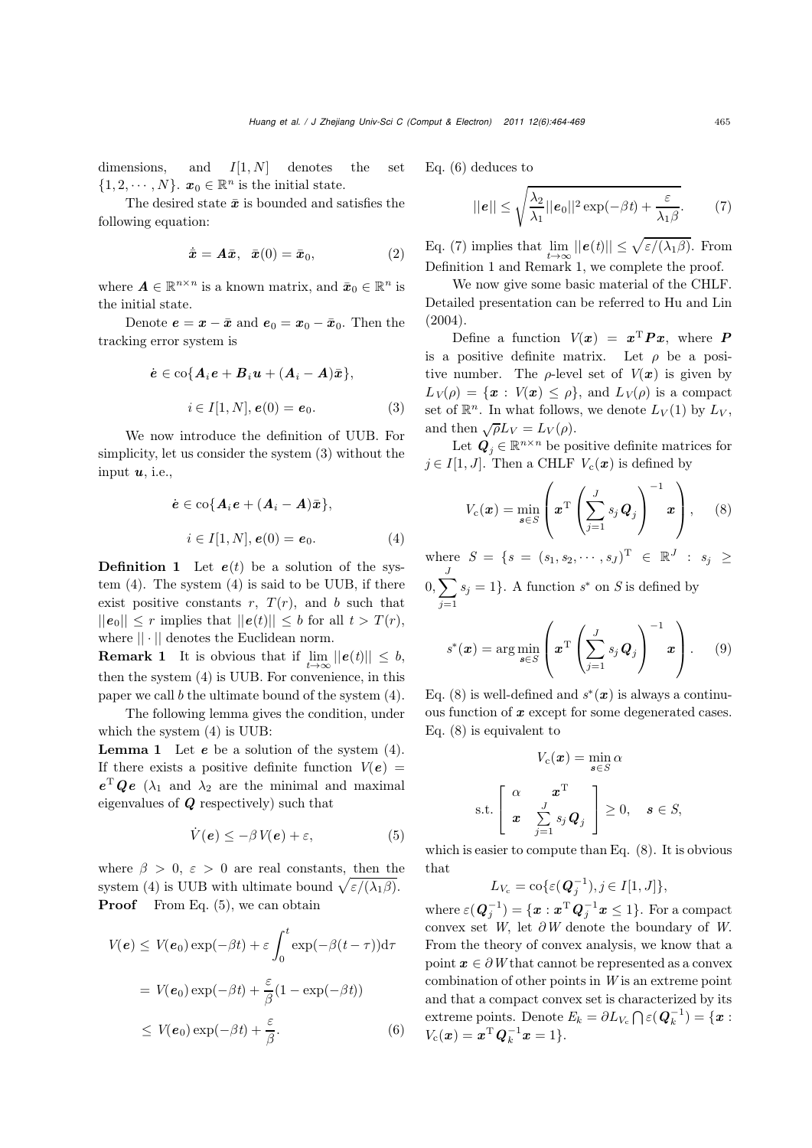dimensions, and  $I[1, N]$  denotes the set  $\{1, 2, \cdots, N\}$ .  $x_0 \in \mathbb{R}^n$  is the initial state.

The desired state  $\bar{x}$  is bounded and satisfies the following equation:

$$
\dot{\bar{x}} = A\bar{x}, \quad \bar{x}(0) = \bar{x}_0,\tag{2}
$$

where  $A \in \mathbb{R}^{n \times n}$  is a known matrix, and  $\bar{x}_0 \in \mathbb{R}^n$  is the initial state.

Denote  $\mathbf{e} = \mathbf{x} - \bar{\mathbf{x}}$  and  $\mathbf{e}_0 = \mathbf{x}_0 - \bar{\mathbf{x}}_0$ . Then the tracking error system is

$$
\dot{e} \in \text{co}\lbrace \mathbf{A}_i \mathbf{e} + \mathbf{B}_i \mathbf{u} + (\mathbf{A}_i - \mathbf{A})\bar{\mathbf{x}}\rbrace,
$$
  

$$
i \in I[1, N], \mathbf{e}(0) = \mathbf{e}_0.
$$
 (3)

We now introduce the definition of UUB. For simplicity, let us consider the system (3) without the input *u*, i.e.,

$$
\dot{e} \in \text{co}\{A_i e + (A_i - A)\bar{x}\},
$$

$$
i \in I[1, N], e(0) = e_0.
$$
 (4)

**Definition 1** Let  $e(t)$  be a solution of the system (4). The system (4) is said to be UUB, if there exist positive constants  $r$ ,  $T(r)$ , and b such that  $||e_0|| \leq r$  implies that  $||e(t)|| \leq b$  for all  $t > T(r)$ , where || · || denotes the Euclidean norm.

**Remark 1** It is obvious that if  $\lim ||e(t)|| \leq b$ , then the system (4) is UUB. For convenience, in this paper we call  $b$  the ultimate bound of the system  $(4)$ .

The following lemma gives the condition, under which the system (4) is UUB:

Lemma 1 Let *e* be a solution of the system (4). If there exists a positive definite function  $V(e)$  =  $e^{\mathrm{T}} Qe$  ( $\lambda_1$  and  $\lambda_2$  are the minimal and maximal eigenvalues of *Q* respectively) such that

$$
\dot{V}(e) \le -\beta V(e) + \varepsilon, \tag{5}
$$

where  $\beta > 0$ ,  $\varepsilon > 0$  are real constants, then the system (4) is UUB with ultimate bound  $\sqrt{\varepsilon/(\lambda_1\beta)}$ . **Proof** From Eq.  $(5)$ , we can obtain

$$
V(e) \le V(e_0) \exp(-\beta t) + \varepsilon \int_0^t \exp(-\beta (t - \tau)) d\tau
$$
  
=  $V(e_0) \exp(-\beta t) + \frac{\varepsilon}{\beta} (1 - \exp(-\beta t))$   
 $\le V(e_0) \exp(-\beta t) + \frac{\varepsilon}{\beta}.$  (6)

Eq. (6) deduces to

$$
||e|| \le \sqrt{\frac{\lambda_2}{\lambda_1}||e_0||^2 \exp(-\beta t) + \frac{\varepsilon}{\lambda_1 \beta}}.
$$
 (7)

Eq. (7) implies that  $\lim_{t\to\infty}||e(t)|| \leq \sqrt{\varepsilon/(\lambda_1\beta)}$ . From Definition 1 and Remark 1, we complete the proof.

We now give some basic material of the CHLF. Detailed presentation can be referred to Hu and Lin (2004).

Define a function  $V(x) = x^{\mathrm{T}} P x$ , where P is a positive definite matrix. Let  $\rho$  be a positive number. The  $\rho$ -level set of  $V(x)$  is given by  $L_V(\rho) = \{x : V(x) \leq \rho\}$ , and  $L_V(\rho)$  is a compact set of  $\mathbb{R}^n$ . In what follows, we denote  $L_V(1)$  by  $L_V$ , and then  $\sqrt{\rho}L_V = L_V(\rho)$ .

Let  $Q_i \in \mathbb{R}^{n \times n}$  be positive definite matrices for  $j \in I[1, J]$ . Then a CHLF  $V_c(\boldsymbol{x})$  is defined by

$$
V_{c}(\boldsymbol{x}) = \min_{\boldsymbol{s} \in S} \left( \boldsymbol{x}^{T} \left( \sum_{j=1}^{J} s_{j} \boldsymbol{Q}_{j} \right)^{-1} \boldsymbol{x} \right), \quad (8)
$$

where  $S = \{s = (s_1, s_2, \dots, s_J)^T \in \mathbb{R}^J : s_j \geq$ 

 $\left(0,\sum_{i=1}^{J}\right)$ *j*=1  $s_j = 1$ . A function  $s^*$  on *S* is defined by

$$
s^*(\boldsymbol{x}) = \arg\min_{\boldsymbol{s}\in S} \left( \boldsymbol{x}^{\mathrm{T}} \left( \sum_{j=1}^J s_j \boldsymbol{Q}_j \right)^{-1} \boldsymbol{x} \right). \qquad (9)
$$

Eq. (8) is well-defined and  $s^*(x)$  is always a continuous function of *x* except for some degenerated cases. Eq. (8) is equivalent to

$$
V_c(\boldsymbol{x}) = \min_{\boldsymbol{s} \in S} \alpha
$$
  
s.t. 
$$
\begin{bmatrix} \alpha & \boldsymbol{x}^{\mathrm{T}} \\ \boldsymbol{x} & \sum_{j=1}^J s_j \boldsymbol{Q}_j \end{bmatrix} \geq 0, \quad \boldsymbol{s} \in S,
$$

which is easier to compute than Eq. (8). It is obvious that

 $L_{V_c} = \text{co}\{\varepsilon(\mathbf{Q}_j^{-1}), j \in I[1, J]\},\$ 

where  $\varepsilon(\boldsymbol{Q}_j^{-1}) = \{\boldsymbol{x}:\boldsymbol{x}^{\mathrm{T}}\boldsymbol{Q}_j^{-1}\boldsymbol{x} \leq 1\}.$  For a compact convex set  $W$ , let  $\partial W$  denote the boundary of  $W$ . From the theory of convex analysis, we know that a point  $x \in \partial W$  that cannot be represented as a convex combination of other points in *W* is an extreme point and that a compact convex set is characterized by its extreme points. Denote  $E_k = \partial L_{V_c} \bigcap \varepsilon(\mathbf{Q}_k^{-1}) = \{ \mathbf{x} :$  $V_c(\bm{x}) = \bm{x}^{\mathrm{T}} \bm{Q}_k^{-1} \bm{x} = 1$ .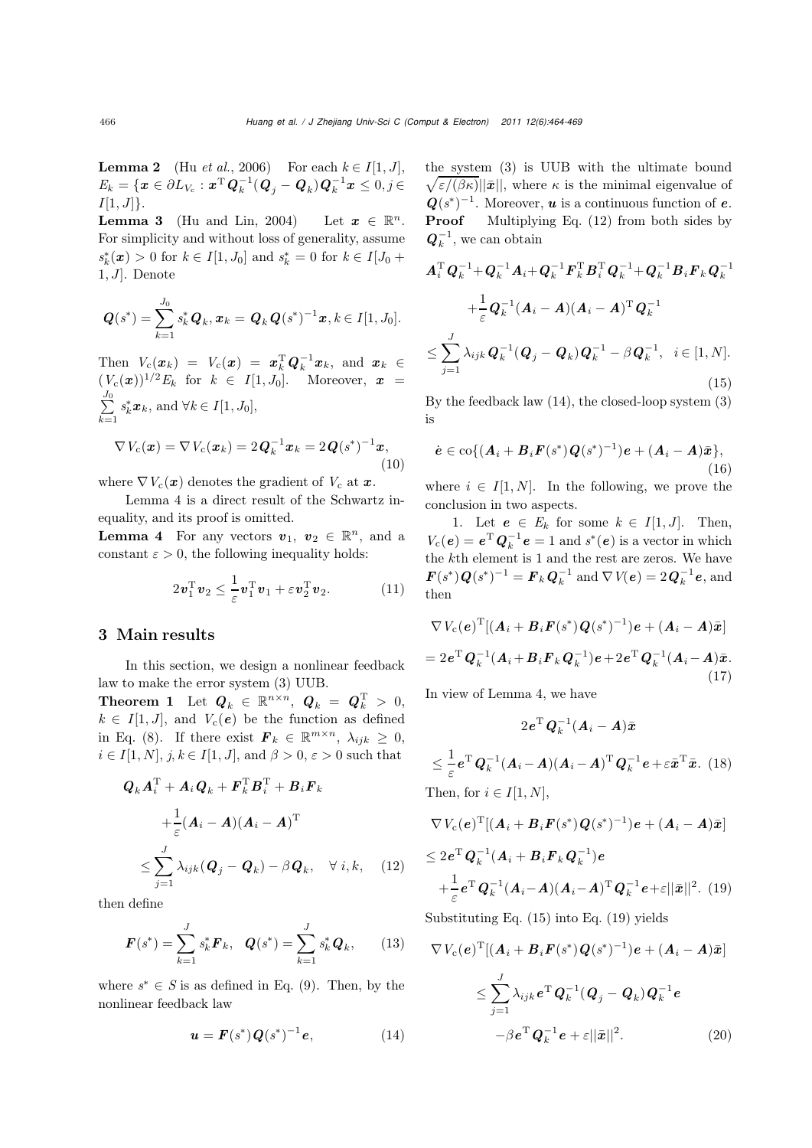**Lemma 2** (Hu *et al.*, 2006) For each  $k \in I[1, J]$ ,  $E_k = \{ \pmb{x} \in \partial L_{V_{\rm c}} : \pmb{x}^{\rm T} \pmb{Q}_k^{-1} (\pmb{Q}_j - \pmb{Q}_k) \pmb{Q}_k^{-1} \pmb{x} \leq 0, j \in$  $I[1, J]$ .

**Lemma 3** (Hu and Lin, 2004) Let  $x \in \mathbb{R}^n$ . For simplicity and without loss of generality, assume  $s_k^*(x) > 0$  for  $k \in I[1, J_0]$  and  $s_k^* = 0$  for  $k \in I[J_0 +$ 1,  $J$ . Denote

$$
\boldsymbol{Q}(s^*) = \sum_{k=1}^{J_0} s_k^* \boldsymbol{Q}_k, \boldsymbol{x}_k = \boldsymbol{Q}_k \boldsymbol{Q}(s^*)^{-1} \boldsymbol{x}, k \in I[1, J_0].
$$

Then  $V_c(\mathbf{x}_k) = V_c(\mathbf{x}) = \mathbf{x}_k^{\mathrm{T}} \mathbf{Q}_k^{-1} \mathbf{x}_k$ , and  $\mathbf{x}_k \in$  $(V_c(\bm{x}))^{1/2}E_k$  for  $k \in I[1, J_0]$ . Moreover,  $\bm{x} =$  $\sum_{ }^{J_0}$ *k*=1  $s_k^*$  $x_k$ , and  $\forall k \in I[1, J_0]$ ,  $\nabla V_c(\bm{x}) = \nabla V_c(\bm{x}_k) = 2\bm{Q}_k^{-1}\bm{x}_k = 2\bm{Q}(s^*)^{-1}\bm{x},$ 

$$
\mathbf{1} \qquad \nabla V \left( \begin{array}{c} 1 \\ 1 \end{array} \right) \qquad \mathbf{1} \qquad \mathbf{1} \qquad \mathbf{1} \qquad \mathbf{1} \qquad \mathbf{1} \qquad \mathbf{1} \qquad \mathbf{1} \qquad \mathbf{1} \qquad \mathbf{1} \qquad \mathbf{1} \qquad \mathbf{1} \qquad \mathbf{1} \qquad \mathbf{1} \qquad \mathbf{1} \qquad \mathbf{1} \qquad \mathbf{1} \qquad \mathbf{1} \qquad \mathbf{1} \qquad \mathbf{1} \qquad \mathbf{1} \qquad \mathbf{1} \qquad \mathbf{1} \qquad \mathbf{1} \qquad \mathbf{1} \qquad \mathbf{1} \qquad \mathbf{1} \qquad \mathbf{1} \qquad \mathbf{1} \qquad \mathbf{1} \qquad \mathbf{1} \qquad \mathbf{1} \qquad \mathbf{1} \qquad \mathbf{1} \qquad \mathbf{1} \qquad \mathbf{1} \qquad \mathbf{1} \qquad \mathbf{1} \qquad \mathbf{1} \qquad \mathbf{1} \qquad \mathbf{1} \qquad \mathbf{1} \qquad \mathbf{1} \qquad \mathbf{1} \qquad \mathbf{1} \qquad \mathbf{1} \qquad \mathbf{1} \qquad \mathbf{1} \qquad \mathbf{1} \qquad \mathbf{1} \qquad \mathbf{1} \qquad \mathbf{1} \qquad \mathbf{1} \qquad \mathbf{1} \qquad \mathbf{1} \qquad \mathbf{1} \qquad \mathbf{1} \qquad \mathbf{1} \qquad \mathbf{1} \qquad \mathbf{1} \qquad \mathbf{1} \qquad \mathbf{1} \qquad \mathbf{1} \qquad \mathbf{1} \qquad \mathbf{1} \qquad \mathbf{1} \qquad \mathbf{1} \qquad \mathbf{1} \qquad \mathbf{1} \qquad \mathbf{1} \qquad \mathbf{1} \qquad \mathbf{1} \qquad \mathbf{1} \qquad \mathbf{1} \qquad \mathbf{1} \qquad \mathbf{1} \qquad \mathbf{1} \qquad \mathbf{1} \qquad \mathbf{1} \qquad \mathbf{1} \qquad \mathbf{1} \qquad
$$

where  $\nabla V_c(\mathbf{x})$  denotes the gradient of  $V_c$  at  $\mathbf{x}$ .

Lemma 4 is a direct result of the Schwartz inequality, and its proof is omitted.

**Lemma 4** For any vectors  $v_1, v_2 \in \mathbb{R}^n$ , and a constant  $\varepsilon > 0$ , the following inequality holds:

$$
2\boldsymbol{v}_1^{\mathrm{T}}\boldsymbol{v}_2 \leq \frac{1}{\varepsilon}\boldsymbol{v}_1^{\mathrm{T}}\boldsymbol{v}_1 + \varepsilon\boldsymbol{v}_2^{\mathrm{T}}\boldsymbol{v}_2. \hspace{1cm} (11)
$$

#### 3 Main results

In this section, we design a nonlinear feedback law to make the error system (3) UUB.

Theorem 1 Let  $Q_k \in \mathbb{R}^{n \times n}$ ,  $Q_k = Q_k^T > 0$ ,  $k \in I[1, J]$ , and  $V_c(e)$  be the function as defined in Eq. (8). If there exist  $\mathbf{F}_k \in \mathbb{R}^{m \times n}$ ,  $\lambda_{ijk} \geq 0$ ,  $i \in I[1, N], j, k \in I[1, J],$  and  $\beta > 0, \varepsilon > 0$  such that

$$
Q_k A_i^{\mathrm{T}} + A_i Q_k + F_k^{\mathrm{T}} B_i^{\mathrm{T}} + B_i F_k
$$
  
+ 
$$
\frac{1}{\varepsilon} (A_i - A)(A_i - A)^{\mathrm{T}}
$$
  

$$
\leq \sum_{j=1}^J \lambda_{ijk} (Q_j - Q_k) - \beta Q_k, \quad \forall i, k, \quad (12)
$$

then define

$$
\boldsymbol{F}(s^*) = \sum_{k=1}^{J} s_k^* \boldsymbol{F}_k, \quad \boldsymbol{Q}(s^*) = \sum_{k=1}^{J} s_k^* \boldsymbol{Q}_k, \qquad (13)
$$

where  $s^* \in S$  is as defined in Eq. (9). Then, by the nonlinear feedback law

$$
u = F(s^*)Q(s^*)^{-1}e,
$$
 (14)

the system (3) is UUB with the ultimate bound  $\sqrt{\varepsilon/(\beta\kappa)}\|\bar{\mathbf{x}}\|$ , where  $\kappa$  is the minimal eigenvalue of  $Q(s^*)^{-1}$ . Moreover, *u* is a continuous function of *e*. Proof Multiplying Eq. (12) from both sides by  $Q_k^{-1}$ , we can obtain

$$
A_i^{\mathrm{T}} Q_k^{-1} + Q_k^{-1} A_i + Q_k^{-1} F_k^{\mathrm{T}} B_i^{\mathrm{T}} Q_k^{-1} + Q_k^{-1} B_i F_k Q_k^{-1}
$$
  
+ 
$$
\frac{1}{\varepsilon} Q_k^{-1} (A_i - A) (A_i - A)^{\mathrm{T}} Q_k^{-1}
$$
  

$$
\leq \sum_{j=1}^J \lambda_{ijk} Q_k^{-1} (Q_j - Q_k) Q_k^{-1} - \beta Q_k^{-1}, \quad i \in [1, N].
$$
  
(15)

By the feedback law (14), the closed-loop system (3) is

$$
\dot{\mathbf{e}} \in \text{co}\{(\mathbf{A}_{i} + \mathbf{B}_{i}\mathbf{F}(s^*)\mathbf{Q}(s^*)^{-1})\mathbf{e} + (\mathbf{A}_{i} - \mathbf{A})\bar{\mathbf{x}}\},\tag{16}
$$

where  $i \in I[1, N]$ . In the following, we prove the conclusion in two aspects.

1. Let  $e \in E_k$  for some  $k \in I[1, J]$ . Then,  $V_c(e) = e^{\mathrm{T}} Q_k^{-1} e = 1$  and  $s^*(e)$  is a vector in which the kth element is 1 and the rest are zeros. We have  $\bm{F}(s^*)\bm{Q}(s^*)^{-1} = \bm{F}_k\bm{Q}_k^{-1}$  and  $\nabla V(\bm{e}) = 2\bm{Q}_k^{-1}\bm{e}$ , and then

$$
\nabla V_c(e)^{\mathrm{T}}[(\boldsymbol{A}_i + \boldsymbol{B}_i \boldsymbol{F}(s^*)\boldsymbol{Q}(s^*)^{-1})\boldsymbol{e} + (\boldsymbol{A}_i - \boldsymbol{A})\bar{\boldsymbol{x}}]
$$
  
=  $2e^{\mathrm{T}} \boldsymbol{Q}_k^{-1}(\boldsymbol{A}_i + \boldsymbol{B}_i \boldsymbol{F}_k \boldsymbol{Q}_k^{-1})\boldsymbol{e} + 2e^{\mathrm{T}} \boldsymbol{Q}_k^{-1}(\boldsymbol{A}_i - \boldsymbol{A})\bar{\boldsymbol{x}}.$   
(17)

In view of Lemma 4, we have

$$
2e^{\mathrm{T}}\mathbf{Q}_k^{-1}(\mathbf{A}_i - \mathbf{A})\bar{x}
$$
  

$$
\leq \frac{1}{\varepsilon}e^{\mathrm{T}}\mathbf{Q}_k^{-1}(\mathbf{A}_i - \mathbf{A})(\mathbf{A}_i - \mathbf{A})^{\mathrm{T}}\mathbf{Q}_k^{-1}e + \varepsilon\bar{x}^{\mathrm{T}}\bar{x}.
$$
 (18)

Then, for  $i \in I[1, N]$ ,

$$
\nabla V_{\rm c}(e)^{\rm T}[(A_i + B_i F(s^*)Q(s^*)^{-1})e + (A_i - A)\bar{x}]
$$
  
\n
$$
\leq 2e^{\rm T}Q_k^{-1}(A_i + B_i F_k Q_k^{-1})e
$$
  
\n
$$
+ \frac{1}{\varepsilon}e^{\rm T}Q_k^{-1}(A_i - A)(A_i - A)^{\rm T}Q_k^{-1}e + \varepsilon ||\bar{x}||^2.
$$
 (19)

Substituting Eq. (15) into Eq. (19) yields

$$
\nabla V_c(e)^{\mathrm{T}}[(\boldsymbol{A}_i + \boldsymbol{B}_i \boldsymbol{F}(s^*)\boldsymbol{Q}(s^*)^{-1})\boldsymbol{e} + (\boldsymbol{A}_i - \boldsymbol{A})\bar{\boldsymbol{x}}]
$$
  

$$
\leq \sum_{j=1}^J \lambda_{ijk} e^{\mathrm{T}} \boldsymbol{Q}_k^{-1} (\boldsymbol{Q}_j - \boldsymbol{Q}_k) \boldsymbol{Q}_k^{-1} \boldsymbol{e}
$$
  

$$
-\beta e^{\mathrm{T}} \boldsymbol{Q}_k^{-1} \boldsymbol{e} + \varepsilon ||\bar{\boldsymbol{x}}||^2.
$$
 (20)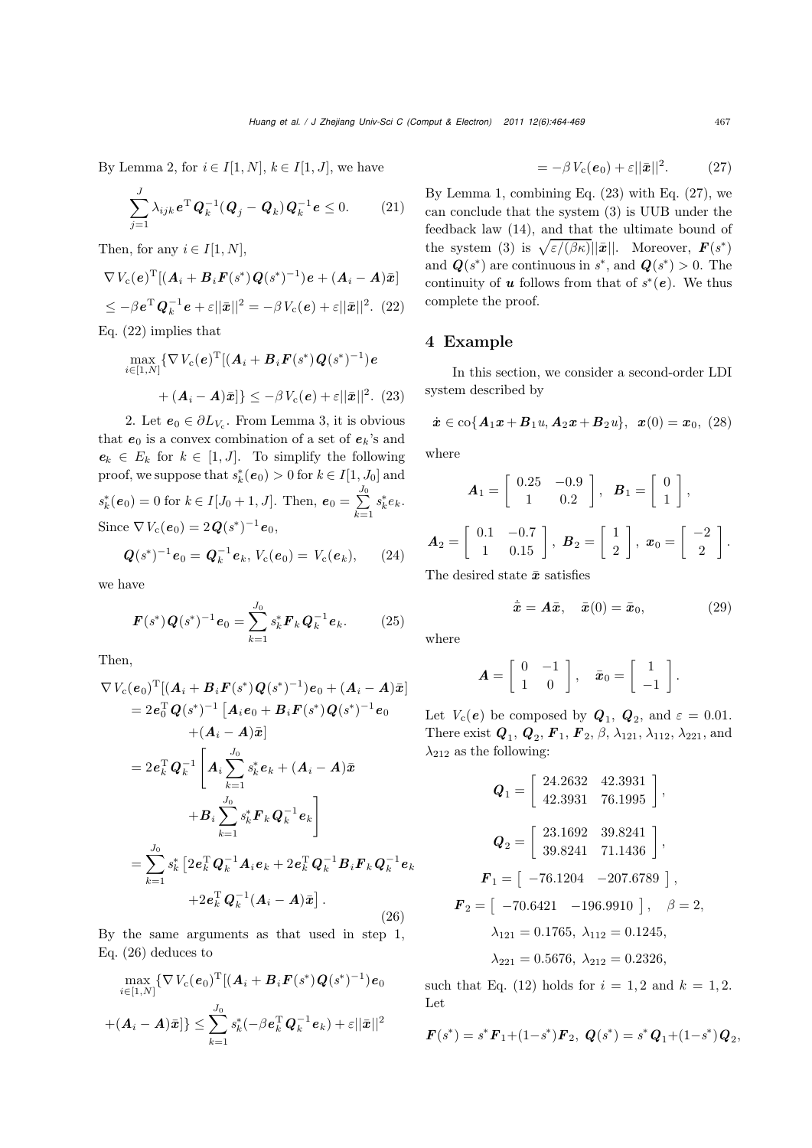By Lemma 2, for  $i \in I[1, N], k \in I[1, J]$ , we have

$$
\sum_{j=1}^{J} \lambda_{ijk} e^{\mathrm{T}} \boldsymbol{Q}_k^{-1} (\boldsymbol{Q}_j - \boldsymbol{Q}_k) \boldsymbol{Q}_k^{-1} e \le 0. \qquad (21)
$$

Then, for any  $i \in I[1, N]$ ,

$$
\nabla V_c(\mathbf{e})^{\mathrm{T}}[(\mathbf{A}_i + \mathbf{B}_i \mathbf{F}(s^*)\mathbf{Q}(s^*)^{-1})\mathbf{e} + (\mathbf{A}_i - \mathbf{A})\bar{\mathbf{x}}]
$$
  
\n
$$
\leq -\beta \mathbf{e}^{\mathrm{T}} \mathbf{Q}_k^{-1} \mathbf{e} + \varepsilon ||\bar{\mathbf{x}}||^2 = -\beta V_c(\mathbf{e}) + \varepsilon ||\bar{\mathbf{x}}||^2. (22)
$$

Eq. (22) implies that

$$
\max_{i \in [1,N]} \{ \nabla V_c(\boldsymbol{e})^{\mathrm{T}} [(\boldsymbol{A}_i + \boldsymbol{B}_i \boldsymbol{F}(s^*) \boldsymbol{Q}(s^*)^{-1}) \boldsymbol{e} \
$$

$$
+ (\boldsymbol{A}_i - \boldsymbol{A}) \boldsymbol{\bar{x}} ] \} \leq -\beta V_c(\boldsymbol{e}) + \varepsilon ||\boldsymbol{\bar{x}}||^2. (23)
$$

2. Let  $e_0 \in \partial L_{V_c}$ . From Lemma 3, it is obvious that  $e_0$  is a convex combination of a set of  $e_k$ 's and  $e_k \in E_k$  for  $k \in [1, J]$ . To simplify the following proof, we suppose that  $s_k^*(e_0) > 0$  for  $k \in I[1, J_0]$  and  $s_k^*(e_0) = 0$  for  $k \in I[J_0 + 1, J]$ . Then,  $e_0 = \sum_{i=1}^{J_0}$ *k*=1  $s_k^* e_k$ . Since  $\nabla V_c(e_0)=2Q(s^*)^{-1}e_0$ ,

$$
Q(s^*)^{-1}e_0 = Q_k^{-1}e_k, V_c(e_0) = V_c(e_k), \qquad (24)
$$

we have

$$
\boldsymbol{F}(s^*)\boldsymbol{Q}(s^*)^{-1}\boldsymbol{e}_0 = \sum_{k=1}^{J_0} s_k^* \boldsymbol{F}_k \boldsymbol{Q}_k^{-1} \boldsymbol{e}_k. \qquad (25)
$$

Then,

$$
\nabla V_{c}(e_{0})^{T}[(A_{i} + B_{i}F(s^{*})Q(s^{*})^{-1})e_{0} + (A_{i} - A)\bar{x}]
$$
\n
$$
= 2e_{0}^{T}Q(s^{*})^{-1}[A_{i}e_{0} + B_{i}F(s^{*})Q(s^{*})^{-1}e_{0}
$$
\n
$$
+(A_{i} - A)\bar{x}]
$$
\n
$$
= 2e_{k}^{T}Q_{k}^{-1}\left[A_{i}\sum_{k=1}^{J_{0}}s_{k}^{*}e_{k} + (A_{i} - A)\bar{x}\right]
$$
\n
$$
+B_{i}\sum_{k=1}^{J_{0}}s_{k}^{*}F_{k}Q_{k}^{-1}e_{k}\right]
$$
\n
$$
= \sum_{k=1}^{J_{0}}s_{k}^{*}\left[2e_{k}^{T}Q_{k}^{-1}A_{i}e_{k} + 2e_{k}^{T}Q_{k}^{-1}B_{i}F_{k}Q_{k}^{-1}e_{k}\right]
$$
\n
$$
+2e_{k}^{T}Q_{k}^{-1}(A_{i} - A)\bar{x}\right].
$$
\n(26)

By the same arguments as that used in step 1, Eq. (26) deduces to

$$
\max_{i\in[1,N]}\{\nabla V_{\text{c}}(\boldsymbol{e}_0)^{\text{T}}[(\boldsymbol{A}_i+\boldsymbol{B}_i\boldsymbol{F}(s^*)\boldsymbol{Q}(s^*)^{-1})\boldsymbol{e}_0\\+ (\boldsymbol{A}_i-\boldsymbol{A})\bar{\boldsymbol{x}}]\}\leq \sum_{k=1}^{J_0} s_k^*(-\beta\boldsymbol{e}_k^{\text{T}}\boldsymbol{Q}_k^{-1}\boldsymbol{e}_k)+\varepsilon||\bar{\boldsymbol{x}}||^2
$$

$$
= -\beta V_c(\boldsymbol{e}_0) + \varepsilon ||\bar{\boldsymbol{x}}||^2. \qquad (27)
$$

By Lemma 1, combining Eq.  $(23)$  with Eq.  $(27)$ , we can conclude that the system (3) is UUB under the feedback law (14), and that the ultimate bound of the system (3) is  $\sqrt{\varepsilon/(\beta\kappa)}||\bar{x}||$ . Moreover,  $\bm{F}(s^*)$ and  $Q(s^*)$  are continuous in  $s^*$ , and  $Q(s^*) > 0$ . The continuity of *u* follows from that of  $s^*(e)$ . We thus complete the proof.

### 4 Example

In this section, we consider a second-order LDI system described by

$$
\dot{x} \in \text{co}\{\textbf{A}_1x + \textbf{B}_1u, \textbf{A}_2x + \textbf{B}_2u\}, \ \ x(0) = x_0, \ (28)
$$

where

$$
\mathbf{A}_1 = \begin{bmatrix} 0.25 & -0.9 \\ 1 & 0.2 \end{bmatrix}, \quad \mathbf{B}_1 = \begin{bmatrix} 0 \\ 1 \end{bmatrix},
$$

$$
\mathbf{A}_2 = \begin{bmatrix} 0.1 & -0.7 \\ 1 & 0.15 \end{bmatrix}, \quad \mathbf{B}_2 = \begin{bmatrix} 1 \\ 2 \end{bmatrix}, \quad \mathbf{x}_0 = \begin{bmatrix} -2 \\ 2 \end{bmatrix}.
$$

The desired state  $\bar{x}$  satisfies

$$
\dot{\bar{x}} = A\bar{x}, \quad \bar{x}(0) = \bar{x}_0, \tag{29}
$$

where

$$
\boldsymbol{A} = \left[ \begin{array}{cc} 0 & -1 \\ 1 & 0 \end{array} \right], \quad \bar{\boldsymbol{x}}_0 = \left[ \begin{array}{c} 1 \\ -1 \end{array} \right].
$$

Let  $V_c(e)$  be composed by  $Q_1$ ,  $Q_2$ , and  $\varepsilon = 0.01$ . There exist  $\boldsymbol{Q}_1$ ,  $\boldsymbol{Q}_2$ ,  $\boldsymbol{F}_1$ ,  $\boldsymbol{F}_2$ ,  $\beta$ ,  $\lambda_{121}$ ,  $\lambda_{112}$ ,  $\lambda_{221}$ , and  $\lambda_{212}$  as the following:

$$
Q_1 = \begin{bmatrix} 24.2632 & 42.3931 \\ 42.3931 & 76.1995 \end{bmatrix},
$$
  
\n
$$
Q_2 = \begin{bmatrix} 23.1692 & 39.8241 \\ 39.8241 & 71.1436 \end{bmatrix},
$$
  
\n
$$
F_1 = \begin{bmatrix} -76.1204 & -207.6789 \end{bmatrix},
$$
  
\n
$$
F_2 = \begin{bmatrix} -70.6421 & -196.9910 \end{bmatrix}, \quad \beta = 2,
$$
  
\n
$$
\lambda_{121} = 0.1765, \ \lambda_{112} = 0.1245,
$$
  
\n
$$
\lambda_{221} = 0.5676, \ \lambda_{212} = 0.2326,
$$

such that Eq. (12) holds for  $i = 1, 2$  and  $k = 1, 2$ . Let

$$
\boldsymbol{F}(s^*) = s^* \boldsymbol{F}_1 + (1 - s^*) \boldsymbol{F}_2, \ \boldsymbol{Q}(s^*) = s^* \boldsymbol{Q}_1 + (1 - s^*) \boldsymbol{Q}_2,
$$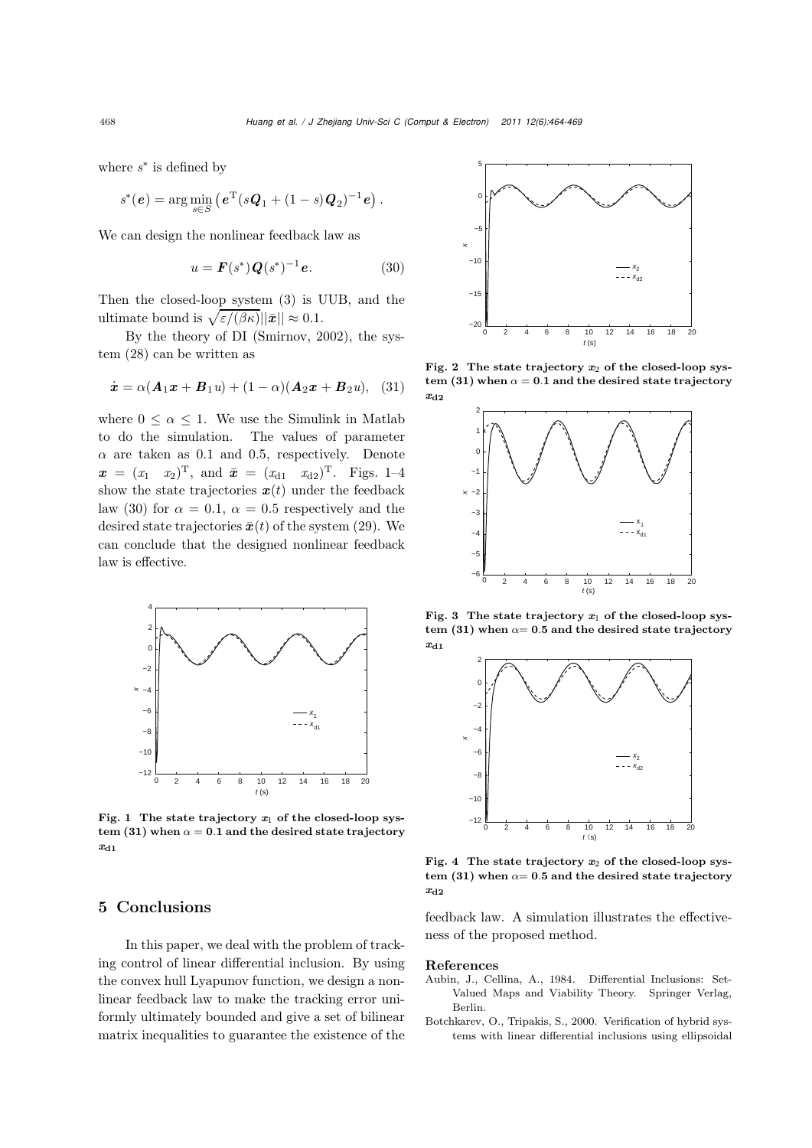where *s*<sup>∗</sup> is defined by

$$
s^*(e) = \arg\min_{s \in S} (e^{\mathrm{T}}(s\mathbf{Q}_1 + (1-s)\mathbf{Q}_2)^{-1}e).
$$

We can design the nonlinear feedback law as

$$
u = \mathbf{F}(s^*)\mathbf{Q}(s^*)^{-1}\mathbf{e}.
$$
 (30)

Then the closed-loop system (3) is UUB, and the ultimate bound is  $\sqrt{\varepsilon/(\beta\kappa)} ||\bar{x}|| \approx 0.1$ .

By the theory of DI (Smirnov, 2002), the system (28) can be written as

$$
\dot{\boldsymbol{x}}=\alpha(\boldsymbol{A}_1\boldsymbol{x}+\boldsymbol{B}_1\boldsymbol{u})+(1-\alpha)(\boldsymbol{A}_2\boldsymbol{x}+\boldsymbol{B}_2\boldsymbol{u}),\eqno(31)
$$

where  $0 \leq \alpha \leq 1$ . We use the Simulink in Matlab to do the simulation. The values of parameter  $\alpha$  are taken as 0.1 and 0.5, respectively. Denote  $\boldsymbol{x} = (x_1 \ x_2)^T$ , and  $\bar{\boldsymbol{x}} = (x_{d1} \ x_{d2})^T$ . Figs. 1–4 show the state trajectories  $x(t)$  under the feedback law (30) for  $\alpha = 0.1$ ,  $\alpha = 0.5$  respectively and the desired state trajectories  $\bar{x}(t)$  of the system (29). We can conclude that the designed nonlinear feedback law is effective.



Fig. 1 The state trajectory  $x_1$  of the closed-loop system (31) when  $\alpha = 0.1$  and the desired state trajectory *x*d1

## 5 Conclusions

In this paper, we deal with the problem of tracking control of linear differential inclusion. By using the convex hull Lyapunov function, we design a nonlinear feedback law to make the tracking error uniformly ultimately bounded and give a set of bilinear matrix inequalities to guarantee the existence of the



Fig. 2 The state trajectory  $x_2$  of the closed-loop system (31) when  $\alpha = 0.1$  and the desired state trajectory *x*d2



Fig. 3 The state trajectory  $x_1$  of the closed-loop system (31) when  $\alpha = 0.5$  and the desired state trajectory *x*d1



Fig. 4 The state trajectory  $x_2$  of the closed-loop system (31) when  $\alpha = 0.5$  and the desired state trajectory *x*d2

feedback law. A simulation illustrates the effectiveness of the proposed method.

#### References

- Aubin, J., Cellina, A., 1984. Differential Inclusions: Set-Valued Maps and Viability Theory. Springer Verlag, Berlin.
- Botchkarev, O., Tripakis, S., 2000. Verification of hybrid systems with linear differential inclusions using ellipsoidal